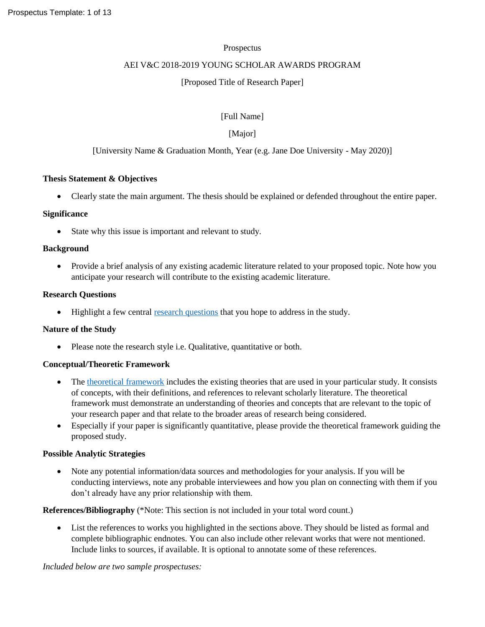### Prospectus

## AEI V&C 2018-2019 YOUNG SCHOLAR AWARDS PROGRAM

## [Proposed Title of Research Paper]

[Full Name]

# [Major]

# [University Name & Graduation Month, Year (e.g. Jane Doe University - May 2020)]

### **Thesis Statement & Objectives**

Clearly state the main argument. The thesis should be explained or defended throughout the entire paper.

### **Significance**

• State why this issue is important and relevant to study.

### **Background**

• Provide a brief analysis of any existing academic literature related to your proposed topic. Note how you anticipate your research will contribute to the existing academic literature.

### **Research Questions**

• Highlight a few central [research questions](https://writingcenter.gmu.edu/guides/how-to-write-a-research-question) that you hope to address in the study.

### **Nature of the Study**

• Please note the research style i.e. Qualitative, quantitative or both.

### **Conceptual/Theoretic Framework**

- The [theoretical framework](http://libguides.usc.edu/writingguide/theoreticalframework) includes the existing theories that are used in your particular study. It consists of concepts, with their definitions, and references to relevant scholarly literature. The theoretical framework must demonstrate an understanding of theories and concepts that are relevant to the topic of your research paper and that relate to the broader areas of research being considered.
- Especially if your paper is significantly quantitative, please provide the theoretical framework guiding the proposed study.

### **Possible Analytic Strategies**

 Note any potential information/data sources and methodologies for your analysis. If you will be conducting interviews, note any probable interviewees and how you plan on connecting with them if you don't already have any prior relationship with them.

**References/Bibliography** (\*Note: This section is not included in your total word count.)

 List the references to works you highlighted in the sections above. They should be listed as formal and complete bibliographic endnotes. You can also include other relevant works that were not mentioned. Include links to sources, if available. It is optional to annotate some of these references.

*Included below are two sample prospectuses:*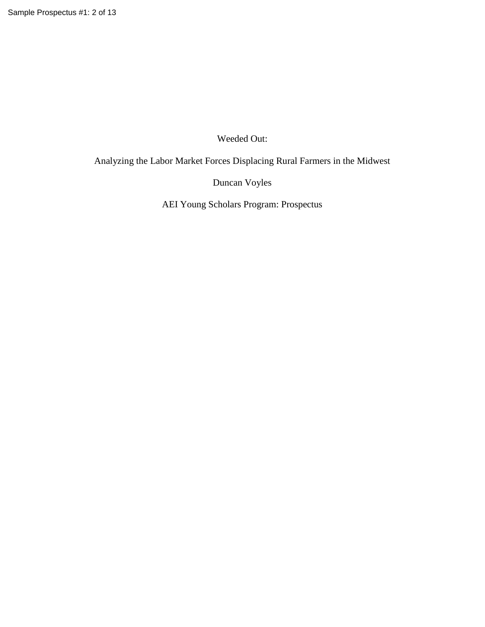Weeded Out:

Analyzing the Labor Market Forces Displacing Rural Farmers in the Midwest

Duncan Voyles

AEI Young Scholars Program: Prospectus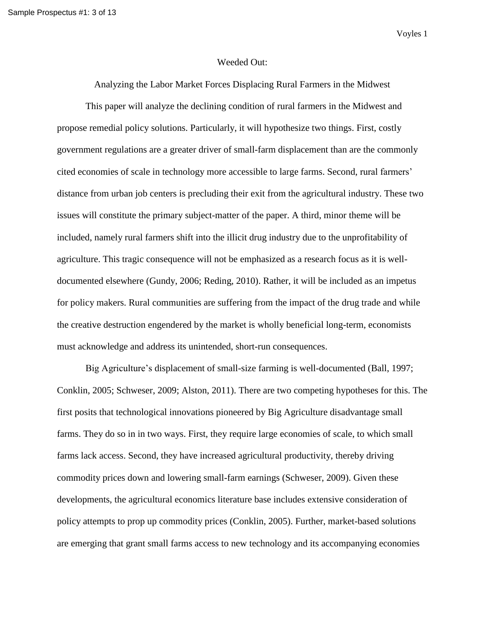Voyles 1

#### Weeded Out:

Analyzing the Labor Market Forces Displacing Rural Farmers in the Midwest

This paper will analyze the declining condition of rural farmers in the Midwest and propose remedial policy solutions. Particularly, it will hypothesize two things. First, costly government regulations are a greater driver of small-farm displacement than are the commonly cited economies of scale in technology more accessible to large farms. Second, rural farmers' distance from urban job centers is precluding their exit from the agricultural industry. These two issues will constitute the primary subject-matter of the paper. A third, minor theme will be included, namely rural farmers shift into the illicit drug industry due to the unprofitability of agriculture. This tragic consequence will not be emphasized as a research focus as it is welldocumented elsewhere (Gundy, 2006; Reding, 2010). Rather, it will be included as an impetus for policy makers. Rural communities are suffering from the impact of the drug trade and while the creative destruction engendered by the market is wholly beneficial long-term, economists must acknowledge and address its unintended, short-run consequences.

Big Agriculture's displacement of small-size farming is well-documented (Ball, 1997; Conklin, 2005; Schweser, 2009; Alston, 2011). There are two competing hypotheses for this. The first posits that technological innovations pioneered by Big Agriculture disadvantage small farms. They do so in in two ways. First, they require large economies of scale, to which small farms lack access. Second, they have increased agricultural productivity, thereby driving commodity prices down and lowering small-farm earnings (Schweser, 2009). Given these developments, the agricultural economics literature base includes extensive consideration of policy attempts to prop up commodity prices (Conklin, 2005). Further, market-based solutions are emerging that grant small farms access to new technology and its accompanying economies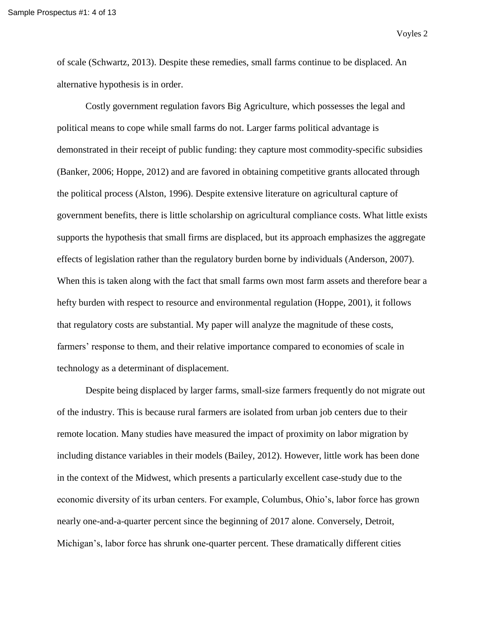Voyles 2

of scale (Schwartz, 2013). Despite these remedies, small farms continue to be displaced. An alternative hypothesis is in order.

Costly government regulation favors Big Agriculture, which possesses the legal and political means to cope while small farms do not. Larger farms political advantage is demonstrated in their receipt of public funding: they capture most commodity-specific subsidies (Banker, 2006; Hoppe, 2012) and are favored in obtaining competitive grants allocated through the political process (Alston, 1996). Despite extensive literature on agricultural capture of government benefits, there is little scholarship on agricultural compliance costs. What little exists supports the hypothesis that small firms are displaced, but its approach emphasizes the aggregate effects of legislation rather than the regulatory burden borne by individuals (Anderson, 2007). When this is taken along with the fact that small farms own most farm assets and therefore bear a hefty burden with respect to resource and environmental regulation (Hoppe, 2001), it follows that regulatory costs are substantial. My paper will analyze the magnitude of these costs, farmers' response to them, and their relative importance compared to economies of scale in technology as a determinant of displacement.

Despite being displaced by larger farms, small-size farmers frequently do not migrate out of the industry. This is because rural farmers are isolated from urban job centers due to their remote location. Many studies have measured the impact of proximity on labor migration by including distance variables in their models (Bailey, 2012). However, little work has been done in the context of the Midwest, which presents a particularly excellent case-study due to the economic diversity of its urban centers. For example, Columbus, Ohio's, labor force has grown nearly one-and-a-quarter percent since the beginning of 2017 alone. Conversely, Detroit, Michigan's, labor force has shrunk one-quarter percent. These dramatically different cities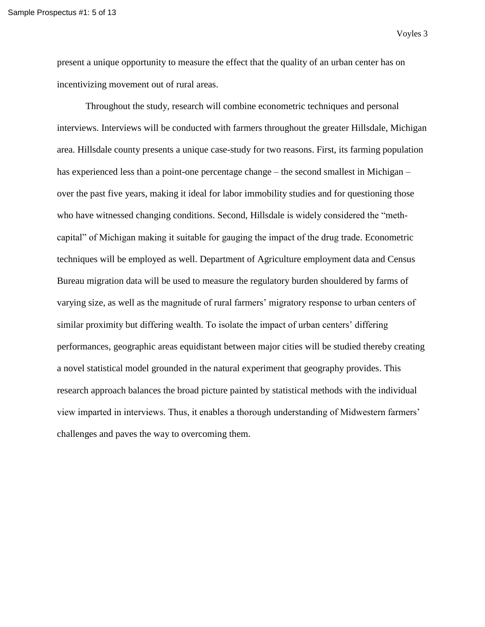Voyles 3

present a unique opportunity to measure the effect that the quality of an urban center has on incentivizing movement out of rural areas.

Throughout the study, research will combine econometric techniques and personal interviews. Interviews will be conducted with farmers throughout the greater Hillsdale, Michigan area. Hillsdale county presents a unique case-study for two reasons. First, its farming population has experienced less than a point-one percentage change – the second smallest in Michigan – over the past five years, making it ideal for labor immobility studies and for questioning those who have witnessed changing conditions. Second, Hillsdale is widely considered the "methcapital" of Michigan making it suitable for gauging the impact of the drug trade. Econometric techniques will be employed as well. Department of Agriculture employment data and Census Bureau migration data will be used to measure the regulatory burden shouldered by farms of varying size, as well as the magnitude of rural farmers' migratory response to urban centers of similar proximity but differing wealth. To isolate the impact of urban centers' differing performances, geographic areas equidistant between major cities will be studied thereby creating a novel statistical model grounded in the natural experiment that geography provides. This research approach balances the broad picture painted by statistical methods with the individual view imparted in interviews. Thus, it enables a thorough understanding of Midwestern farmers' challenges and paves the way to overcoming them.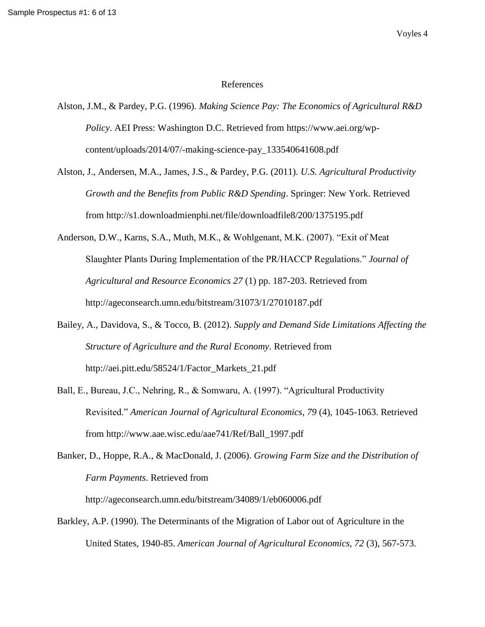#### References

- Alston, J.M., & Pardey, P.G. (1996). *Making Science Pay: The Economics of Agricultural R&D Policy*. AEI Press: Washington D.C. Retrieved from https://www.aei.org/wpcontent/uploads/2014/07/-making-science-pay\_133540641608.pdf
- Alston, J., Andersen, M.A., James, J.S., & Pardey, P.G. (2011). *U.S. Agricultural Productivity Growth and the Benefits from Public R&D Spending*. Springer: New York. Retrieved from http://s1.downloadmienphi.net/file/downloadfile8/200/1375195.pdf
- Anderson, D.W., Karns, S.A., Muth, M.K., & Wohlgenant, M.K. (2007). "Exit of Meat Slaughter Plants During Implementation of the PR/HACCP Regulations." *Journal of Agricultural and Resource Economics 27* (1) pp. 187-203. Retrieved from http://ageconsearch.umn.edu/bitstream/31073/1/27010187.pdf
- Bailey, A., Davidova, S., & Tocco, B. (2012). *Supply and Demand Side Limitations Affecting the Structure of Agriculture and the Rural Economy*. Retrieved from http://aei.pitt.edu/58524/1/Factor\_Markets\_21.pdf
- Ball, E., Bureau, J.C., Nehring, R., & Somwaru, A. (1997). "Agricultural Productivity Revisited." *American Journal of Agricultural Economics, 79* (4), 1045-1063. Retrieved from http://www.aae.wisc.edu/aae741/Ref/Ball\_1997.pdf
- Banker, D., Hoppe, R.A., & MacDonald, J. (2006). *Growing Farm Size and the Distribution of Farm Payments*. Retrieved from

http://ageconsearch.umn.edu/bitstream/34089/1/eb060006.pdf

Barkley, A.P. (1990). The Determinants of the Migration of Labor out of Agriculture in the United States, 1940-85. *American Journal of Agricultural Economics, 72* (3), 567-573.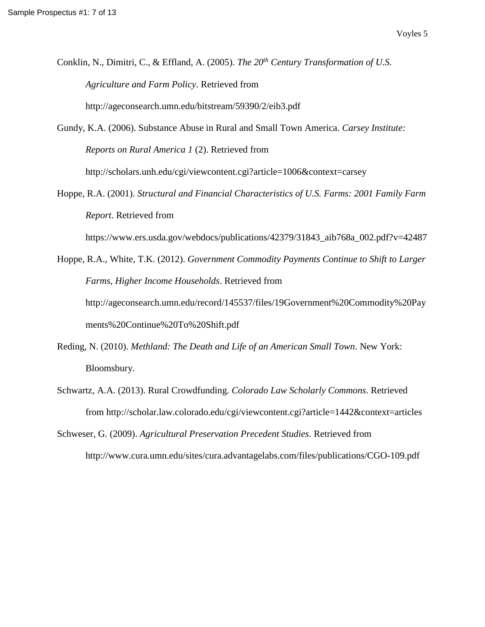- Conklin, N., Dimitri, C., & Effland, A. (2005). *The 20th Century Transformation of U.S. Agriculture and Farm Policy*. Retrieved from http://ageconsearch.umn.edu/bitstream/59390/2/eib3.pdf
- Gundy, K.A. (2006). Substance Abuse in Rural and Small Town America. *Carsey Institute: Reports on Rural America 1* (2). Retrieved from http://scholars.unh.edu/cgi/viewcontent.cgi?article=1006&context=carsey
- Hoppe, R.A. (2001). *Structural and Financial Characteristics of U.S. Farms: 2001 Family Farm Report*. Retrieved from

https://www.ers.usda.gov/webdocs/publications/42379/31843\_aib768a\_002.pdf?v=42487

Hoppe, R.A., White, T.K. (2012). *Government Commodity Payments Continue to Shift to Larger Farms, Higher Income Households*. Retrieved from http://ageconsearch.umn.edu/record/145537/files/19Government%20Commodity%20Pay ments%20Continue%20To%20Shift.pdf

- Reding, N. (2010). *Methland: The Death and Life of an American Small Town*. New York: Bloomsbury.
- Schwartz, A.A. (2013). Rural Crowdfunding. *Colorado Law Scholarly Commons*. Retrieved from http://scholar.law.colorado.edu/cgi/viewcontent.cgi?article=1442&context=articles

Schweser, G. (2009). *Agricultural Preservation Precedent Studies*. Retrieved from http://www.cura.umn.edu/sites/cura.advantagelabs.com/files/publications/CGO-109.pdf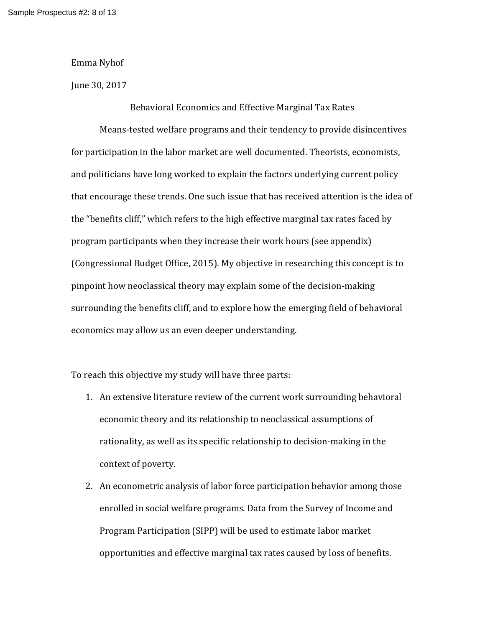Emma Nyhof

June 30, 2017

Behavioral Economics and Effective Marginal Tax Rates

Means-tested welfare programs and their tendency to provide disincentives for participation in the labor market are well documented. Theorists, economists, and politicians have long worked to explain the factors underlying current policy that encourage these trends. One such issue that has received attention is the idea of the "benefits cliff," which refers to the high effective marginal tax rates faced by program participants when they increase their work hours (see appendix) (Congressional Budget Office, 2015). My objective in researching this concept is to pinpoint how neoclassical theory may explain some of the decision-making surrounding the benefits cliff, and to explore how the emerging field of behavioral economics may allow us an even deeper understanding.

To reach this objective my study will have three parts:

- 1. An extensive literature review of the current work surrounding behavioral economic theory and its relationship to neoclassical assumptions of rationality, as well as its specific relationship to decision-making in the context of poverty.
- 2. An econometric analysis of labor force participation behavior among those enrolled in social welfare programs. Data from the Survey of Income and Program Participation (SIPP) will be used to estimate labor market opportunities and effective marginal tax rates caused by loss of benefits.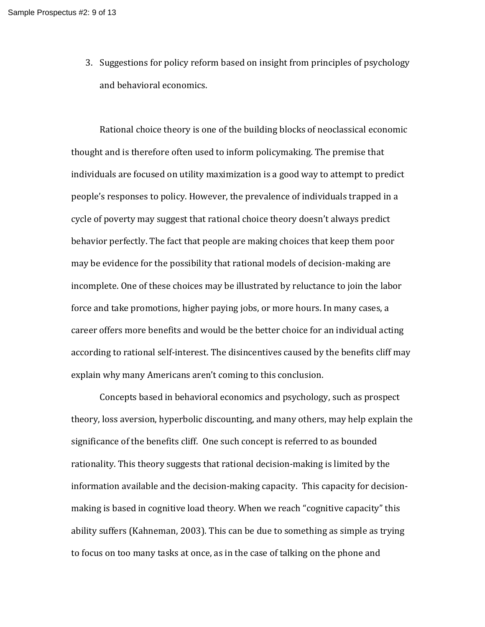3. Suggestions for policy reform based on insight from principles of psychology and behavioral economics.

Rational choice theory is one of the building blocks of neoclassical economic thought and is therefore often used to inform policymaking. The premise that individuals are focused on utility maximization is a good way to attempt to predict people's responses to policy. However, the prevalence of individuals trapped in a cycle of poverty may suggest that rational choice theory doesn't always predict behavior perfectly. The fact that people are making choices that keep them poor may be evidence for the possibility that rational models of decision-making are incomplete. One of these choices may be illustrated by reluctance to join the labor force and take promotions, higher paying jobs, or more hours. In many cases, a career offers more benefits and would be the better choice for an individual acting according to rational self-interest. The disincentives caused by the benefits cliff may explain why many Americans aren't coming to this conclusion.

Concepts based in behavioral economics and psychology, such as prospect theory, loss aversion, hyperbolic discounting, and many others, may help explain the significance of the benefits cliff. One such concept is referred to as bounded rationality. This theory suggests that rational decision-making is limited by the information available and the decision-making capacity. This capacity for decisionmaking is based in cognitive load theory. When we reach "cognitive capacity" this ability suffers (Kahneman, 2003). This can be due to something as simple as trying to focus on too many tasks at once, as in the case of talking on the phone and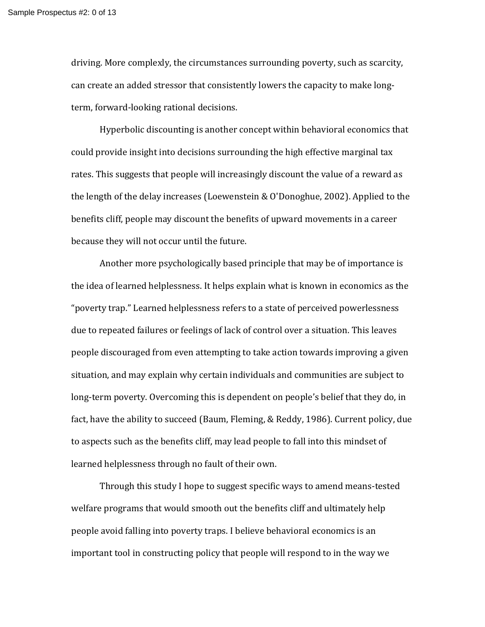driving. More complexly, the circumstances surrounding poverty, such as scarcity, can create an added stressor that consistently lowers the capacity to make longterm, forward-looking rational decisions.

Hyperbolic discounting is another concept within behavioral economics that could provide insight into decisions surrounding the high effective marginal tax rates. This suggests that people will increasingly discount the value of a reward as the length of the delay increases (Loewenstein & O'Donoghue, 2002). Applied to the benefits cliff, people may discount the benefits of upward movements in a career because they will not occur until the future.

Another more psychologically based principle that may be of importance is the idea of learned helplessness. It helps explain what is known in economics as the "poverty trap." Learned helplessness refers to a state of perceived powerlessness due to repeated failures or feelings of lack of control over a situation. This leaves people discouraged from even attempting to take action towards improving a given situation, and may explain why certain individuals and communities are subject to long-term poverty. Overcoming this is dependent on people's belief that they do, in fact, have the ability to succeed (Baum, Fleming, & Reddy, 1986). Current policy, due to aspects such as the benefits cliff, may lead people to fall into this mindset of learned helplessness through no fault of their own.

Through this study I hope to suggest specific ways to amend means-tested welfare programs that would smooth out the benefits cliff and ultimately help people avoid falling into poverty traps. I believe behavioral economics is an important tool in constructing policy that people will respond to in the way we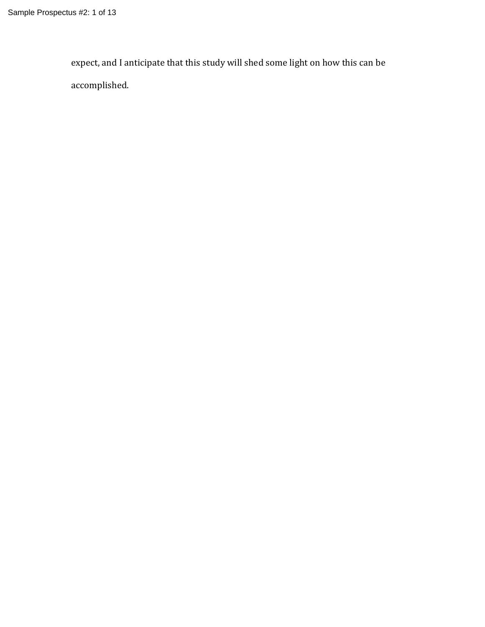expect, and I anticipate that this study will shed some light on how this can be accomplished.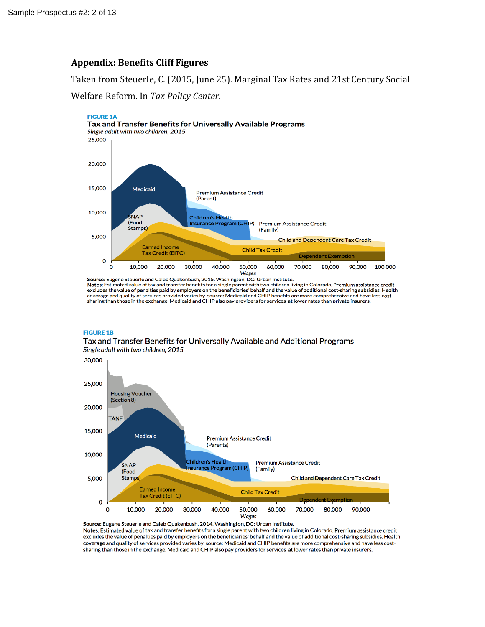# **Appendix: Benefits Cliff Figures**

Taken from Steuerle, C. (2015, June 25). Marginal Tax Rates and 21st Century Social

Welfare Reform. In *Tax Policy Center*.



Source: Eugene Steuerle and Caleb Quakenbush, 2015. Washington, DC: Urban Institute. Notes: Estimated value of tax and transfer benefits for a single parent with two children living in Colorado. Premium assistance credit excludes the value of penalties paid by employers on the beneficiaries' behalf and the value of additional cost-sharing subsidies. Health coverage and quality of services provided varies by source: Medicaid and CHIP benefi sharing than those in the exchange. Medicaid and CHIP also pay providers for services at lower rates than private insurers.

#### **FIGURE 1B**

Tax and Transfer Benefits for Universally Available and Additional Programs Single adult with two children, 2015



Source: Eugene Steuerle and Caleb Quakenbush, 2014. Washington, DC: Urban Institute. Notes: Estimated value of tax and transfer benefits for a single parent with two children living in Colorado. Premium assistance credit excludes the value of penalties paid by employers on the beneficiaries' behalf and the value of additional cost-sharing subsidies. Health coverage and quality of services provided varies by source: Medicaid and CHIP benefits are more comprehensive and have less costsharing than those in the exchange. Medicaid and CHIP also pay providers for services at lower rates than private insurers.